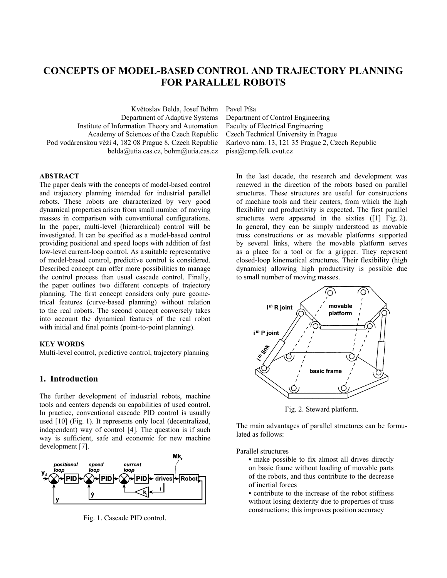# **CONCEPTS OF MODEL-BASED CONTROL AND TRAJECTORY PLANNING FOR PARALLEL ROBOTS**

Květoslav Belda, Josef Böhm Department of Adaptive Systems Institute of Information Theory and Automation Academy of Sciences of the Czech Republic Pod vodárenskou věží 4, 182 08 Prague 8, Czech Republic belda@utia.cas.cz, bohm@utia.cas.cz Pavel Píša

Department of Control Engineering Faculty of Electrical Engineering Czech Technical University in Prague Karlovo nám. 13, 121 35 Prague 2, Czech Republic pisa@cmp.felk.cvut.cz

# **ABSTRACT**

The paper deals with the concepts of model-based control and trajectory planning intended for industrial parallel robots. These robots are characterized by very good dynamical properties arisen from small number of moving masses in comparison with conventional configurations. In the paper, multi-level (hierarchical) control will be investigated. It can be specified as a model-based control providing positional and speed loops with addition of fast low-level current-loop control. As a suitable representative of model-based control, predictive control is considered. Described concept can offer more possibilities to manage the control process than usual cascade control. Finally, the paper outlines two different concepts of trajectory planning. The first concept considers only pure geometrical features (curve-based planning) without relation to the real robots. The second concept conversely takes into account the dynamical features of the real robot with initial and final points (point-to-point planning).

### **KEY WORDS**

Multi-level control, predictive control, trajectory planning

# **1. Introduction**

The further development of industrial robots, machine tools and centers depends on capabilities of used control. In practice, conventional cascade PID control is usually used [10] (Fig. 1). It represents only local (decentralized, independent) way of control [4]. The question is if such way is sufficient, safe and economic for new machine development [7].



Fig. 1. Cascade PID control.

In the last decade, the research and development was renewed in the direction of the robots based on parallel structures. These structures are useful for constructions of machine tools and their centers, from which the high flexibility and productivity is expected. The first parallel structures were appeared in the sixties ([1] Fig. 2). In general, they can be simply understood as movable truss constructions or as movable platforms supported by several links, where the movable platform serves as a place for a tool or for a gripper. They represent closed-loop kinematical structures. Their flexibility (high dynamics) allowing high productivity is possible due to small number of moving masses.



Fig. 2. Steward platform.

The main advantages of parallel structures can be formulated as follows:

Parallel structures

- **•** make possible to fix almost all drives directly on basic frame without loading of movable parts of the robots, and thus contribute to the decrease of inertial forces
- contribute to the increase of the robot stiffness without losing dexterity due to properties of truss constructions; this improves position accuracy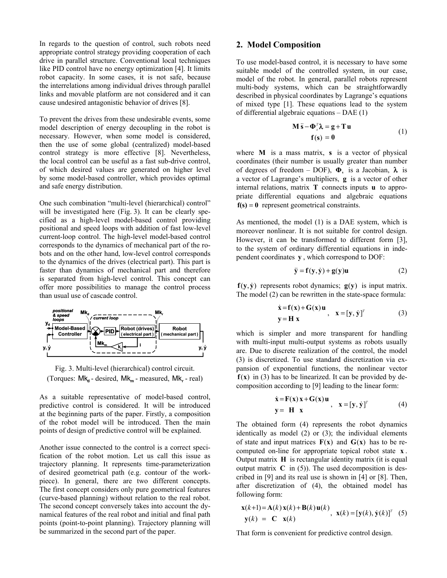In regards to the question of control, such robots need appropriate control strategy providing cooperation of each drive in parallel structure. Conventional local techniques like PID control have no energy optimization [4]. It limits robot capacity. In some cases, it is not safe, because the interrelations among individual drives through parallel links and movable platform are not considered and it can cause undesired antagonistic behavior of drives [8].

To prevent the drives from these undesirable events, some model description of energy decoupling in the robot is necessary. However, when some model is considered, then the use of some global (centralized) model-based control strategy is more effective [8]. Nevertheless, the local control can be useful as a fast sub-drive control, of which desired values are generated on higher level by some model-based controller, which provides optimal and safe energy distribution.

One such combination "multi-level (hierarchical) control" will be investigated here (Fig. 3). It can be clearly specified as a high-level model-based control providing positional and speed loops with addition of fast low-level current-loop control. The high-level model-based control corresponds to the dynamics of mechanical part of the robots and on the other hand, low-level control corresponds to the dynamics of the drives (electrical part). This part is faster than dynamics of mechanical part and therefore is separated from high-level control. This concept can offer more possibilities to manage the control process than usual use of cascade control.



Fig. 3. Multi-level (hierarchical) control circuit. (Torques: Mk<sub>n</sub> - desired, Mk<sub>m</sub> - measured, Mk<sub>r</sub> - real)

As a suitable representative of model-based control, predictive control is considered. It will be introduced at the beginning parts of the paper. Firstly, a composition of the robot model will be introduced. Then the main points of design of predictive control will be explained.

Another issue connected to the control is a correct specification of the robot motion. Let us call this issue as trajectory planning. It represents time-parameterization of desired geometrical path (e.g. contour of the workpiece). In general, there are two different concepts. The first concept considers only pure geometrical features (curve-based planning) without relation to the real robot. The second concept conversely takes into account the dynamical features of the real robot and initial and final path points (point-to-point planning). Trajectory planning will be summarized in the second part of the paper.

# **2. Model Composition**

To use model-based control, it is necessary to have some suitable model of the controlled system, in our case, model of the robot. In general, parallel robots represent multi-body systems, which can be straightforwardly described in physical coordinates by Lagrange's equations of mixed type [1]. These equations lead to the system of differential algebraic equations – DAE (1)

$$
\mathbf{M}\ddot{\mathbf{s}} - \mathbf{\Phi}_s^T \mathbf{\lambda} = \mathbf{g} + \mathbf{T} \mathbf{u}
$$
  
\n
$$
\mathbf{f}(\mathbf{s}) = \mathbf{0}
$$
 (1)

where **M** is a mass matrix, **s** is a vector of physical coordinates (their number is usually greater than number of degrees of freedom – DOF),  $\Phi$ , is a Jacobian,  $\lambda$  is a vector of Lagrange's multipliers, **g** is a vector of other internal relations, matrix **T** connects inputs **u** to appropriate differential equations and algebraic equations  $f(s) = 0$  represent geometrical constraints.

As mentioned, the model (1) is a DAE system, which is moreover nonlinear. It is not suitable for control design. However, it can be transformed to different form [3], to the system of ordinary differential equations in independent coordinates **y** , which correspond to DOF:

$$
\ddot{\mathbf{y}} = \mathbf{f}(\mathbf{y}, \dot{\mathbf{y}}) + \mathbf{g}(\mathbf{y})\mathbf{u}
$$
 (2)

 $f(y, \dot{y})$  represents robot dynamics;  $g(y)$  is input matrix. The model (2) can be rewritten in the state-space formula:

$$
\dot{x} = f(x) + G(x)u
$$
  
y = H x, 
$$
x = [y, \dot{y}]^T
$$
 (3)

which is simpler and more transparent for handling with multi-input multi-output systems as robots usually are. Due to discrete realization of the control, the model (3) is discretized. To use standard discretization via expansion of exponential functions, the nonlinear vector  $f(x)$  in (3) has to be linearized. It can be provided by decomposition according to [9] leading to the linear form:

$$
\dot{\mathbf{x}} = \mathbf{F}(\mathbf{x})\mathbf{x} + \mathbf{G}(\mathbf{x})\mathbf{u}, \quad \mathbf{x} = [\mathbf{y}, \dot{\mathbf{y}}]^T
$$
\n
$$
\mathbf{y} = \mathbf{H} \mathbf{x}
$$
\n(4)

The obtained form (4) represents the robot dynamics identically as model (2) or (3); the individual elements of state and input matrices  $F(x)$  and  $G(x)$  has to be recomputed on-line for appropriate topical robot state **x** . Output matrix **H** is rectangular identity matrix (it is equal output matrix  $C$  in (5)). The used decomposition is described in [9] and its real use is shown in [4] or [8]. Then, after discretization of (4), the obtained model has following form:

$$
\mathbf{x}(k+1) = \mathbf{A}(k)\mathbf{x}(k) + \mathbf{B}(k)\mathbf{u}(k)
$$
\n
$$
\mathbf{y}(k) = \mathbf{C}\mathbf{x}(k)
$$
\n
$$
\mathbf{y}(k) = \mathbf{C}\mathbf{x}(k)
$$

That form is convenient for predictive control design.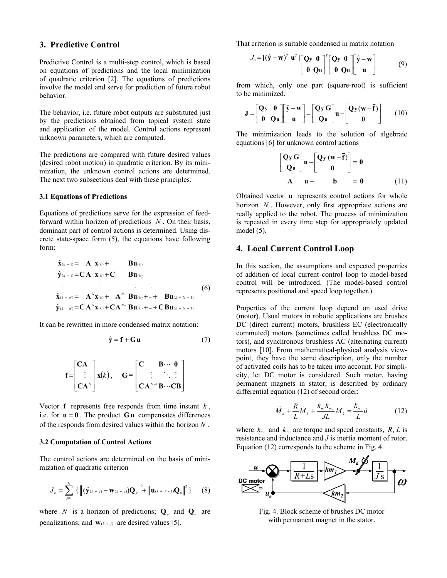### **3. Predictive Control**

Predictive Control is a multi-step control, which is based on equations of predictions and the local minimization of quadratic criterion [2]. The equations of predictions involve the model and serve for prediction of future robot behavior.

The behavior, i.e. future robot outputs are substituted just by the predictions obtained from topical system state and application of the model. Control actions represent unknown parameters, which are computed.

The predictions are compared with future desired values (desired robot motion) in quadratic criterion. By its minimization, the unknown control actions are determined. The next two subsections deal with these principles.

#### **3.1 Equations of Predictions**

Equations of predictions serve for the expression of feedforward within horizon of predictions *N* . On their basis, dominant part of control actions is determined. Using discrete state-space form (5), the equations have following form:

$$
\hat{\mathbf{x}}_{(k+1)} = \mathbf{A} \mathbf{x}_{(k)} + \mathbf{B} \mathbf{u}_{(k)} \n\hat{\mathbf{y}}_{(k+1)} = \mathbf{C} \mathbf{A} \mathbf{x}_{(k)} + \mathbf{C} \mathbf{B} \mathbf{u}_{(k)} \n\vdots \qquad \vdots \qquad \vdots \qquad \ddots \n\hat{\mathbf{x}}_{(k+N)} = \mathbf{A}^{N} \mathbf{x}_{(k)} + \mathbf{A}^{N-1} \mathbf{B} \mathbf{u}_{(k)} + \dots + \mathbf{B} \mathbf{u}_{(k+N-1)} \n\hat{\mathbf{y}}_{(k+N)} = \mathbf{C} \mathbf{A}^{N} \mathbf{x}_{(k)} + \mathbf{C} \mathbf{A}^{N-1} \mathbf{B} \mathbf{u}_{(k)} + \dots + \mathbf{C} \mathbf{B} \mathbf{u}_{(k+N-1)}
$$
\n(6)

It can be rewritten in more condensed matrix notation:

$$
\hat{\mathbf{y}} = \mathbf{f} + \mathbf{G} \mathbf{u} \tag{7}
$$

$$
\mathbf{f} = \begin{bmatrix} \mathbf{C}\mathbf{A} \\ \vdots \\ \mathbf{C}\mathbf{A}^N \end{bmatrix} \mathbf{x}(k), \quad \mathbf{G} = \begin{bmatrix} \mathbf{C} & \mathbf{B} \cdots & \mathbf{0} \\ \vdots & \ddots & \vdots \\ \mathbf{C}\mathbf{A}^{N-1} & \mathbf{B} \cdots & \mathbf{C}\mathbf{B} \end{bmatrix}
$$

Vector  $f$  represents free responds from time instant  $k$ , i.e. for  $\mathbf{u} = \mathbf{0}$ . The product  $\mathbf{G}\mathbf{u}$  compensates differences of the responds from desired values within the horizon *N* .

#### **3.2 Computation of Control Actions**

The control actions are determined on the basis of minimization of quadratic criterion

$$
J_{k} = \sum_{j=1}^{N} \left\{ \left\| (\hat{\mathbf{y}}_{(k+j)} - \mathbf{w}_{(k+j)}) \mathbf{Q}_{y} \right\|^{2} + \left\| \mathbf{u}_{(k+j-1)} \mathbf{Q}_{u} \right\|^{2} \right\} \tag{8}
$$

where *N* is a horizon of predictions;  $Q_\nu$  and  $Q_\nu$  are penalizations; and  $\mathbf{w}_{(k+j)}$  are desired values [5].

That criterion is suitable condensed in matrix notation

$$
J_{k} = [(\hat{\mathbf{y}} - \mathbf{w})^T \mathbf{u}^T] \begin{bmatrix} \mathbf{Q} \mathbf{y} & \mathbf{0} \\ \mathbf{0} & \mathbf{Q} \mathbf{u} \end{bmatrix}^T \begin{bmatrix} \mathbf{Q} \mathbf{y} & \mathbf{0} \\ \mathbf{0} & \mathbf{Q} \mathbf{u} \end{bmatrix}^T \begin{bmatrix} \hat{\mathbf{y}} - \mathbf{w} \\ \mathbf{u} \end{bmatrix}
$$
(9)

from which, only one part (square-root) is sufficient to be minimized.

$$
\mathbf{J} = \begin{bmatrix} \mathbf{Q} & \mathbf{0} \\ \mathbf{0} & \mathbf{Q} \mathbf{u} \end{bmatrix} \begin{bmatrix} \hat{\mathbf{y}} - \mathbf{w} \\ \mathbf{u} \end{bmatrix} = \begin{bmatrix} \mathbf{Q} & \mathbf{G} \\ \mathbf{Q} & \mathbf{u} \end{bmatrix} \mathbf{u} - \begin{bmatrix} \mathbf{Q} & \mathbf{w} & \mathbf{F} \\ \mathbf{0} & \mathbf{0} \end{bmatrix} \qquad (10)
$$

The minimization leads to the solution of algebraic equations [6] for unknown control actions

$$
\begin{bmatrix} Q_y G \\ Q_u \end{bmatrix} u - \begin{bmatrix} Q_y (w - \overline{f}) \\ 0 \end{bmatrix} = 0
$$
  
A  $u -$  b = 0 (11)

Obtained vector **u** represents control actions for whole horizon *N*. However, only first appropriate actions are really applied to the robot. The process of minimization is repeated in every time step for appropriately updated model (5).

# **4. Local Current Control Loop**

In this section, the assumptions and expected properties of addition of local current control loop to model-based control will be introduced. (The model-based control represents positional and speed loop together.)

Properties of the current loop depend on used drive (motor). Usual motors in robotic applications are brushes DC (direct current) motors, brushless EC (electronically commuted) motors (sometimes called brushless DC motors), and synchronous brushless AC (alternating current) motors [10]. From mathematical-physical analysis viewpoint, they have the same description, only the number of activated coils has to be taken into account. For simplicity, let DC motor is considered. Such motor, having permanent magnets in stator, is described by ordinary differential equation (12) of second order:

$$
\ddot{M}_k + \frac{R}{L} \dot{M}_k + \frac{k_{m_1} k_{m_2}}{J L} M_k = \frac{k_{m_1}}{L} \dot{u}
$$
 (12)

where  $k_{m_1}$  and  $k_{m_2}$  are torque and speed constants,  $R, L$  is resistance and inductance and *J* is inertia moment of rotor. Equation (12) corresponds to the scheme in Fig. 4.



Fig. 4. Block scheme of brushes DC motor with permanent magnet in the stator.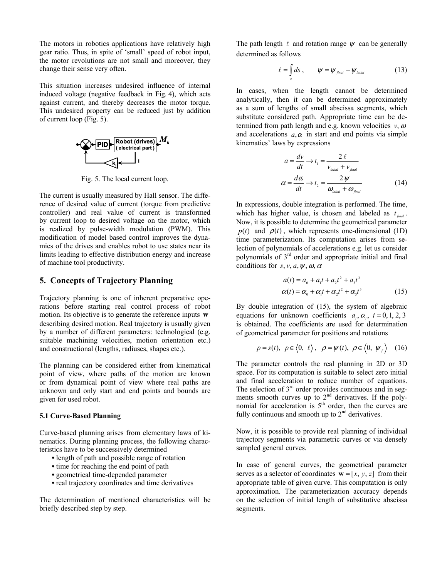The motors in robotics applications have relatively high gear ratio. Thus, in spite of 'small' speed of robot input, the motor revolutions are not small and moreover, they change their sense very often.

This situation increases undesired influence of internal induced voltage (negative feedback in Fig. 4), which acts against current, and thereby decreases the motor torque. This undesired property can be reduced just by addition of current loop (Fig. 5).



Fig. 5. The local current loop.

The current is usually measured by Hall sensor. The difference of desired value of current (torque from predictive controller) and real value of current is transformed by current loop to desired voltage on the motor, which is realized by pulse-width modulation (PWM). This modification of model based control improves the dynamics of the drives and enables robot to use states near its limits leading to effective distribution energy and increase of machine tool productivity.

## **5. Concepts of Trajectory Planning**

Trajectory planning is one of inherent preparative operations before starting real control process of robot motion. Its objective is to generate the reference inputs **w** describing desired motion. Real trajectory is usually given by a number of different parameters: technological (e.g. suitable machining velocities, motion orientation etc.) and constructional (lengths, radiuses, shapes etc.).

The planning can be considered either from kinematical point of view, where paths of the motion are known or from dynamical point of view where real paths are unknown and only start and end points and bounds are given for used robot.

#### **5.1 Curve-Based Planning**

Curve-based planning arises from elementary laws of kinematics. During planning process, the following characteristics have to be successively determined

- **•** length of path and possible range of rotation
- **•** time for reaching the end point of path
- **•** geometrical time-depended parameter
- **•** real trajectory coordinates and time derivatives

The determination of mentioned characteristics will be briefly described step by step.

The path length  $\ell$  and rotation range  $\psi$  can be generally determined as follows

$$
\ell = \int_{s} ds, \qquad \psi = \psi_{\text{final}} - \psi_{\text{initial}} \tag{13}
$$

In cases, when the length cannot be determined analytically, then it can be determined approximately as a sum of lengths of small abscissa segments, which substitute considered path. Appropriate time can be determined from path length and e.g. known velocities  $v, \omega$ and accelerations  $a, \alpha$  in start and end points via simple kinematics' laws by expressions

$$
a = \frac{dv}{dt} \rightarrow t_1 = \frac{2 \ell}{v_{\text{initial}} + v_{\text{final}}}
$$

$$
\alpha = \frac{d\omega}{dt} \rightarrow t_2 = \frac{2 \psi}{\omega_{\text{initial}} + \omega_{\text{final}}}
$$
(14)

In expressions, double integration is performed. The time, which has higher value, is chosen and labeled as  $t_{final}$ . Now, it is possible to determine the geometrical parameter  $p(t)$  and  $p(t)$ , which represents one-dimensional (1D) time parameterization. Its computation arises from selection of polynomials of accelerations e.g. let us consider polynomials of 3rd order and appropriate initial and final conditions for *s*, *v*, *a*,  $\psi$ ,  $\omega$ ,  $\alpha$ 

$$
a(t) = a_0 + a_1t + a_2t^2 + a_3t^3
$$
  
\n
$$
\alpha(t) = \alpha_0 + \alpha_1t + \alpha_2t^2 + \alpha_3t^3
$$
\n(15)

By double integration of (15), the system of algebraic equations for unknown coefficients  $a_i$ ,  $\alpha_i$ ,  $i = 0, 1, 2, 3$ is obtained. The coefficients are used for determination of geometrical parameter for positions and rotations

$$
p = s(t), p \in \langle 0, \ell \rangle, \rho = \psi(t), \rho \in \langle 0, \psi_f \rangle
$$
 (16)

The parameter controls the real planning in 2D or 3D space. For its computation is suitable to select zero initial and final acceleration to reduce number of equations. The selection of  $3<sup>rd</sup>$  order provides continuous and in segments smooth curves up to  $2<sup>nd</sup>$  derivatives. If the polynomial for acceleration is  $5<sup>th</sup>$  order, then the curves are fully continuous and smooth up to  $2<sup>nd</sup>$  derivatives.

Now, it is possible to provide real planning of individual trajectory segments via parametric curves or via densely sampled general curves.

In case of general curves, the geometrical parameter serves as a selector of coordinates  $\mathbf{w} = [x, y, z]$  from their appropriate table of given curve. This computation is only approximation. The parameterization accuracy depends on the selection of initial length of substitutive abscissa segments.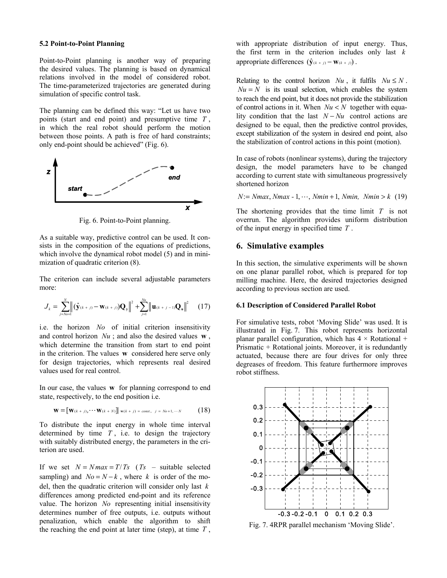#### **5.2 Point-to-Point Planning**

Point-to-Point planning is another way of preparing the desired values. The planning is based on dynamical relations involved in the model of considered robot. The time-parameterized trajectories are generated during simulation of specific control task.

The planning can be defined this way: "Let us have two points (start and end point) and presumptive time *T* , in which the real robot should perform the motion between those points. A path is free of hard constraints; only end-point should be achieved" (Fig. 6).



Fig. 6. Point-to-Point planning.

As a suitable way, predictive control can be used. It consists in the composition of the equations of predictions, which involve the dynamical robot model (5) and in minimization of quadratic criterion (8).

The criterion can include several adjustable parameters more:

$$
J_{k} = \sum_{j=N_{0}+1}^{N} \left| \left( \hat{\mathbf{y}}_{(k+j)} - \mathbf{w}_{(k+j)} \right) \mathbf{Q}_{y} \right|^{2} + \sum_{j=1}^{N_{u}} \left| \mathbf{u}_{(k+j-1)} \mathbf{Q}_{u} \right|^{2} \quad (17)
$$

i.e. the horizon *No* of initial criterion insensitivity and control horizon *Nu* ; and also the desired values **w** , which determine the transition from start to end point in the criterion. The values **w** considered here serve only for design trajectories, which represents real desired values used for real control.

In our case, the values **w** for planning correspond to end state, respectively, to the end position i.e.

$$
\mathbf{W} = [\mathbf{W}(k+j), \cdots \mathbf{W}(k+N)] \mid \mathbf{w}(k+j) = const., \quad j = No+1, \cdots N
$$
 (18)

To distribute the input energy in whole time interval determined by time  $T$ , i.e. to design the trajectory with suitably distributed energy, the parameters in the criterion are used.

If we set  $N = Nmax = T/Ts$  (*Ts* – suitable selected sampling) and  $No = N - k$ , where *k* is order of the model, then the quadratic criterion will consider only last *k* differences among predicted end-point and its reference value. The horizon *No* representing initial insensitivity determines number of free outputs, i.e. outputs without penalization, which enable the algorithm to shift the reaching the end point at later time (step), at time *T* ,

with appropriate distribution of input energy. Thus, the first term in the criterion includes only last *k* appropriate differences  $(\hat{\mathbf{v}}_{(k + j)} - \mathbf{w}_{(k + j)})$ .

Relating to the control horizon  $Nu$ , it fulfils  $Nu \leq N$ .  $Nu = N$  is its usual selection, which enables the system to reach the end point, but it does not provide the stabilization of control actions in it. When *Nu* < *N* together with equality condition that the last *N* − *Nu* control actions are designed to be equal, then the predictive control provides, except stabilization of the system in desired end point, also the stabilization of control actions in this point (motion).

In case of robots (nonlinear systems), during the trajectory design, the model parameters have to be changed according to current state with simultaneous progressively shortened horizon

 $N = N$ *max*, *Nmax* - 1, …, *Nmin* + 1, *Nmin*, *Nmin* > *k* (19)

The shortening provides that the time limit *T* is not overrun. The algorithm provides uniform distribution of the input energy in specified time *T* .

### **6. Simulative examples**

In this section, the simulative experiments will be shown on one planar parallel robot, which is prepared for top milling machine. Here, the desired trajectories designed according to previous section are used.

### **6.1 Description of Considered Parallel Robot**

For simulative tests, robot 'Moving Slide' was used. It is illustrated in Fig. 7. This robot represents horizontal planar parallel configuration, which has  $4 \times$  Rotational + Prismatic + Rotational joints. Moreover, it is redundantly actuated, because there are four drives for only three degreases of freedom. This feature furthermore improves robot stiffness.



Fig. 7. 4RPR parallel mechanism 'Moving Slide'.